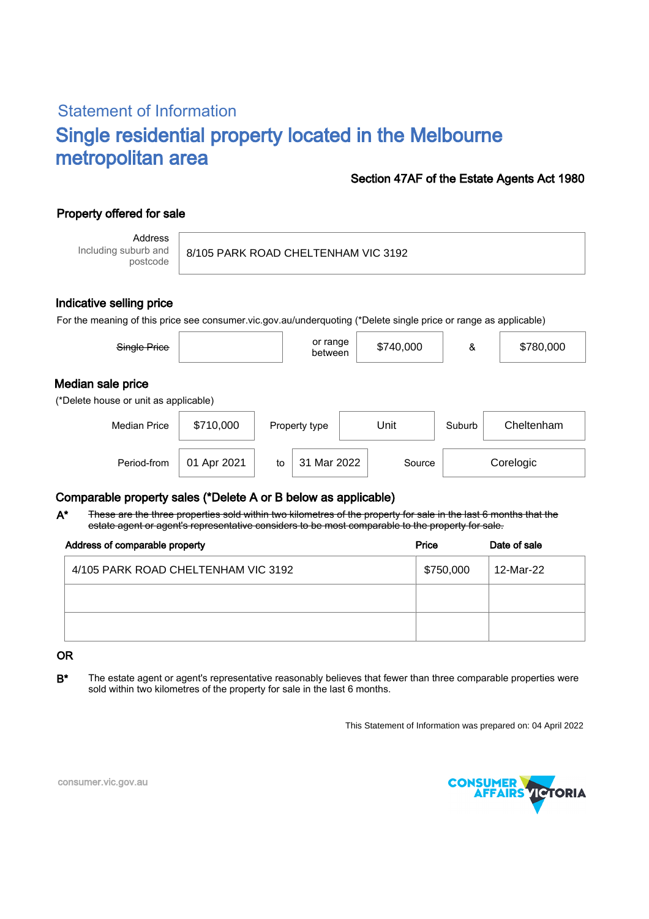# Statement of Information Single residential property located in the Melbourne metropolitan area

### Section 47AF of the Estate Agents Act 1980

## Property offered for sale

Address Including suburb and postcode

8/105 PARK ROAD CHELTENHAM VIC 3192

#### Indicative selling price

For the meaning of this price see consumer.vic.gov.au/underquoting (\*Delete single price or range as applicable)

| Single Price                                               |             |    | or range<br>between |      | \$740,000 | &      | \$780,000  |  |  |
|------------------------------------------------------------|-------------|----|---------------------|------|-----------|--------|------------|--|--|
| Median sale price<br>(*Delete house or unit as applicable) |             |    |                     |      |           |        |            |  |  |
| <b>Median Price</b>                                        | \$710,000   |    | Property type       | Unit |           | Suburb | Cheltenham |  |  |
| Period-from                                                | 01 Apr 2021 | to | 31 Mar 2022         |      | Source    |        | Corelogic  |  |  |

#### Comparable property sales (\*Delete A or B below as applicable)

These are the three properties sold within two kilometres of the property for sale in the last 6 months that the estate agent or agent's representative considers to be most comparable to the property for sale. A\*

| Address of comparable property      | Price     | Date of sale |  |
|-------------------------------------|-----------|--------------|--|
| 4/105 PARK ROAD CHELTENHAM VIC 3192 | \$750,000 | 12-Mar-22    |  |
|                                     |           |              |  |
|                                     |           |              |  |

#### OR

B<sup>\*</sup> The estate agent or agent's representative reasonably believes that fewer than three comparable properties were sold within two kilometres of the property for sale in the last 6 months.

This Statement of Information was prepared on: 04 April 2022



consumer.vic.gov.au